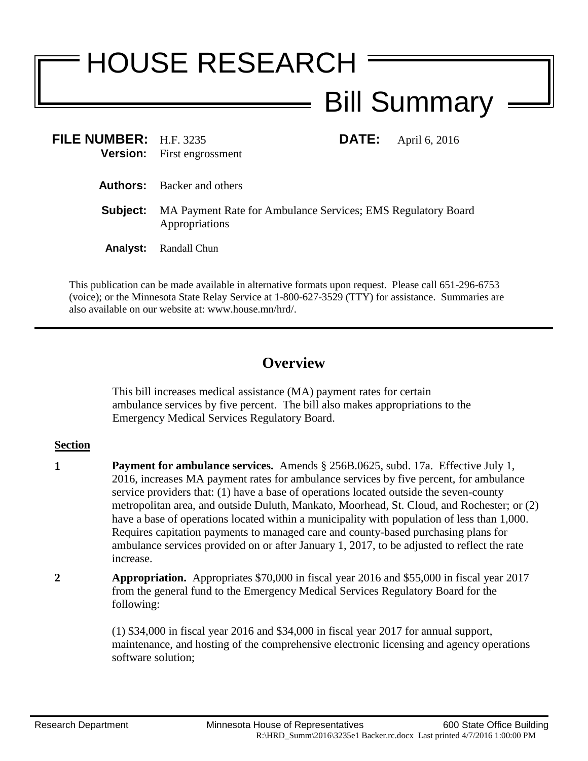## HOUSE RESEARCH Bill Summary

| FILE NUMBER: H.F. 3235 | <b>Version:</b> First engrossment                                              | <b>DATE:</b> April 6, 2016 |
|------------------------|--------------------------------------------------------------------------------|----------------------------|
|                        | <b>Authors:</b> Backer and others                                              |                            |
| Subject:               | MA Payment Rate for Ambulance Services; EMS Regulatory Board<br>Appropriations |                            |
| <b>Analyst:</b>        | Randall Chun                                                                   |                            |

This publication can be made available in alternative formats upon request. Please call 651-296-6753 (voice); or the Minnesota State Relay Service at 1-800-627-3529 (TTY) for assistance. Summaries are also available on our website at: www.house.mn/hrd/.

## **Overview**

This bill increases medical assistance (MA) payment rates for certain ambulance services by five percent. The bill also makes appropriations to the Emergency Medical Services Regulatory Board.

## **Section**

- **1 Payment for ambulance services.** Amends § 256B.0625, subd. 17a. Effective July 1, 2016, increases MA payment rates for ambulance services by five percent, for ambulance service providers that: (1) have a base of operations located outside the seven-county metropolitan area, and outside Duluth, Mankato, Moorhead, St. Cloud, and Rochester; or (2) have a base of operations located within a municipality with population of less than 1,000. Requires capitation payments to managed care and county-based purchasing plans for ambulance services provided on or after January 1, 2017, to be adjusted to reflect the rate increase.
- **2 Appropriation.** Appropriates \$70,000 in fiscal year 2016 and \$55,000 in fiscal year 2017 from the general fund to the Emergency Medical Services Regulatory Board for the following:

(1) \$34,000 in fiscal year 2016 and \$34,000 in fiscal year 2017 for annual support, maintenance, and hosting of the comprehensive electronic licensing and agency operations software solution;